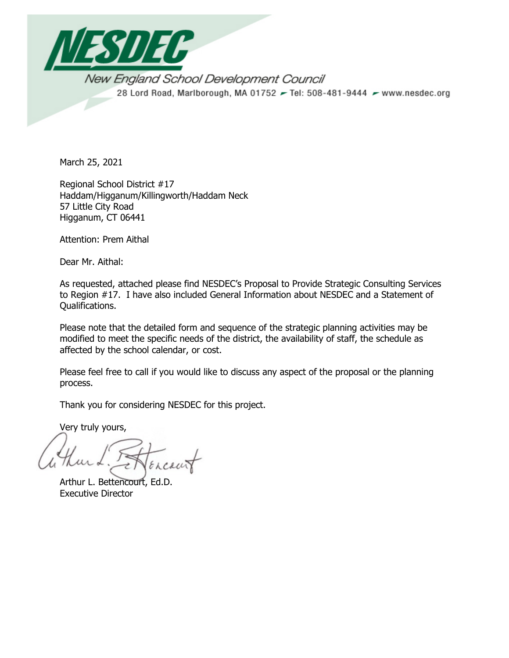

New England School Development Council 28 Lord Road, Marlborough, MA 01752 - Tel: 508-481-9444 - www.nesdec.org

March 25, 2021

Regional School District #17 Haddam/Higganum/Killingworth/Haddam Neck 57 Little City Road Higganum, CT 06441

Attention: Prem Aithal

Dear Mr. Aithal:

As requested, attached please find NESDEC's Proposal to Provide Strategic Consulting Services to Region #17. I have also included General Information about NESDEC and a Statement of Qualifications.

Please note that the detailed form and sequence of the strategic planning activities may be modified to meet the specific needs of the district, the availability of staff, the schedule as affected by the school calendar, or cost.

Please feel free to call if you would like to discuss any aspect of the proposal or the planning process.

Thank you for considering NESDEC for this project.

Very truly yours,

Arthur L. Bettencourt, Ed.D. Executive Director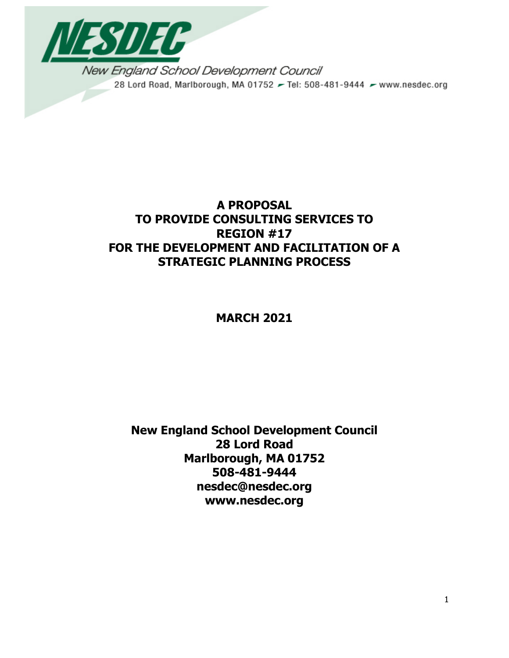

New England School Development Council 28 Lord Road, Marlborough, MA 01752 - Tel: 508-481-9444 - www.nesdec.org

# **A PROPOSAL TO PROVIDE CONSULTING SERVICES TO REGION #17 FOR THE DEVELOPMENT AND FACILITATION OF A STRATEGIC PLANNING PROCESS**

# **MARCH 2021**

**New England School Development Council 28 Lord Road Marlborough, MA 01752 508-481-9444 nesdec@nesdec.org www.nesdec.org**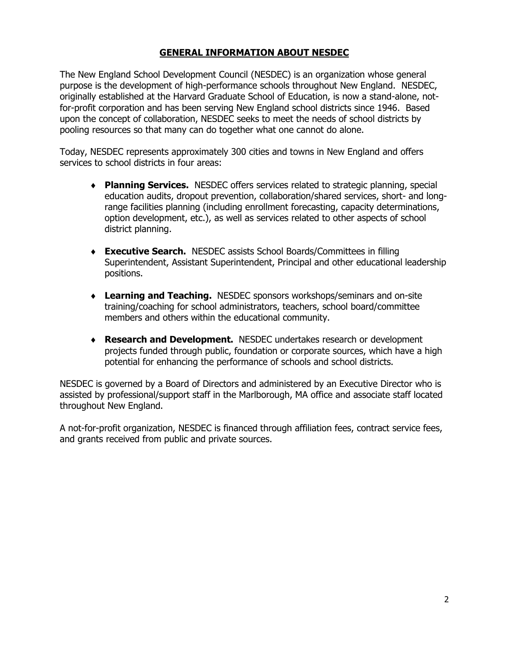## **GENERAL INFORMATION ABOUT NESDEC**

The New England School Development Council (NESDEC) is an organization whose general purpose is the development of high-performance schools throughout New England. NESDEC, originally established at the Harvard Graduate School of Education, is now a stand-alone, notfor-profit corporation and has been serving New England school districts since 1946. Based upon the concept of collaboration, NESDEC seeks to meet the needs of school districts by pooling resources so that many can do together what one cannot do alone.

Today, NESDEC represents approximately 300 cities and towns in New England and offers services to school districts in four areas:

- ♦ **Planning Services.** NESDEC offers services related to strategic planning, special education audits, dropout prevention, collaboration/shared services, short- and longrange facilities planning (including enrollment forecasting, capacity determinations, option development, etc.), as well as services related to other aspects of school district planning.
- ♦ **Executive Search.** NESDEC assists School Boards/Committees in filling Superintendent, Assistant Superintendent, Principal and other educational leadership positions.
- ♦ **Learning and Teaching.** NESDEC sponsors workshops/seminars and on-site training/coaching for school administrators, teachers, school board/committee members and others within the educational community.
- ♦ **Research and Development.** NESDEC undertakes research or development projects funded through public, foundation or corporate sources, which have a high potential for enhancing the performance of schools and school districts.

NESDEC is governed by a Board of Directors and administered by an Executive Director who is assisted by professional/support staff in the Marlborough, MA office and associate staff located throughout New England.

A not-for-profit organization, NESDEC is financed through affiliation fees, contract service fees, and grants received from public and private sources.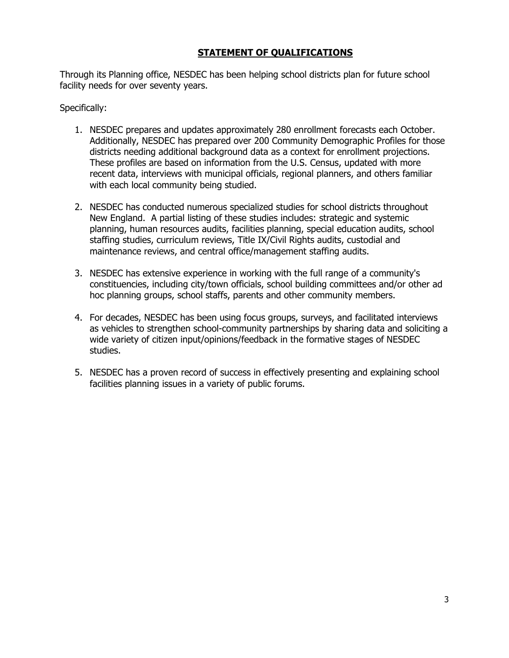## **STATEMENT OF QUALIFICATIONS**

Through its Planning office, NESDEC has been helping school districts plan for future school facility needs for over seventy years.

Specifically:

- 1. NESDEC prepares and updates approximately 280 enrollment forecasts each October. Additionally, NESDEC has prepared over 200 Community Demographic Profiles for those districts needing additional background data as a context for enrollment projections. These profiles are based on information from the U.S. Census, updated with more recent data, interviews with municipal officials, regional planners, and others familiar with each local community being studied.
- 2. NESDEC has conducted numerous specialized studies for school districts throughout New England. A partial listing of these studies includes: strategic and systemic planning, human resources audits, facilities planning, special education audits, school staffing studies, curriculum reviews, Title IX/Civil Rights audits, custodial and maintenance reviews, and central office/management staffing audits.
- 3. NESDEC has extensive experience in working with the full range of a community's constituencies, including city/town officials, school building committees and/or other ad hoc planning groups, school staffs, parents and other community members.
- 4. For decades, NESDEC has been using focus groups, surveys, and facilitated interviews as vehicles to strengthen school-community partnerships by sharing data and soliciting a wide variety of citizen input/opinions/feedback in the formative stages of NESDEC studies.
- 5. NESDEC has a proven record of success in effectively presenting and explaining school facilities planning issues in a variety of public forums.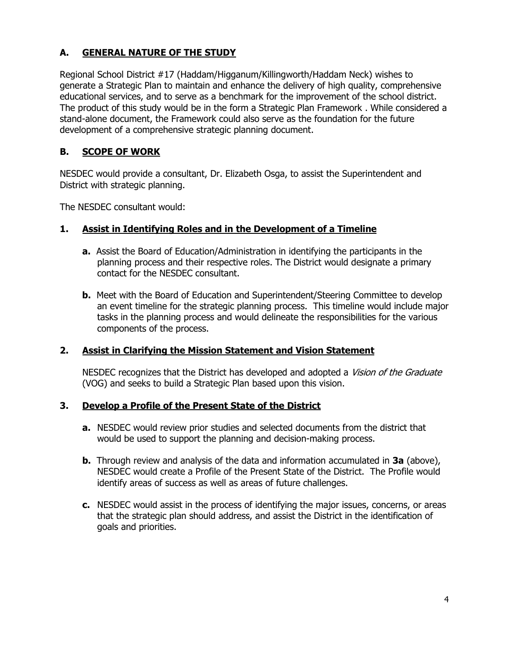## **A. GENERAL NATURE OF THE STUDY**

Regional School District #17 (Haddam/Higganum/Killingworth/Haddam Neck) wishes to generate a Strategic Plan to maintain and enhance the delivery of high quality, comprehensive educational services, and to serve as a benchmark for the improvement of the school district. The product of this study would be in the form a Strategic Plan Framework . While considered a stand-alone document, the Framework could also serve as the foundation for the future development of a comprehensive strategic planning document.

## **B. SCOPE OF WORK**

NESDEC would provide a consultant, Dr. Elizabeth Osga, to assist the Superintendent and District with strategic planning.

The NESDEC consultant would:

## **1. Assist in Identifying Roles and in the Development of a Timeline**

- **a.** Assist the Board of Education/Administration in identifying the participants in the planning process and their respective roles. The District would designate a primary contact for the NESDEC consultant.
- **b.** Meet with the Board of Education and Superintendent/Steering Committee to develop an event timeline for the strategic planning process. This timeline would include major tasks in the planning process and would delineate the responsibilities for the various components of the process.

## **2. Assist in Clarifying the Mission Statement and Vision Statement**

NESDEC recognizes that the District has developed and adopted a *Vision of the Graduate* (VOG) and seeks to build a Strategic Plan based upon this vision.

## **3. Develop a Profile of the Present State of the District**

- **a.** NESDEC would review prior studies and selected documents from the district that would be used to support the planning and decision-making process.
- **b.** Through review and analysis of the data and information accumulated in **3a** (above), NESDEC would create a Profile of the Present State of the District. The Profile would identify areas of success as well as areas of future challenges.
- **c.** NESDEC would assist in the process of identifying the major issues, concerns, or areas that the strategic plan should address, and assist the District in the identification of goals and priorities.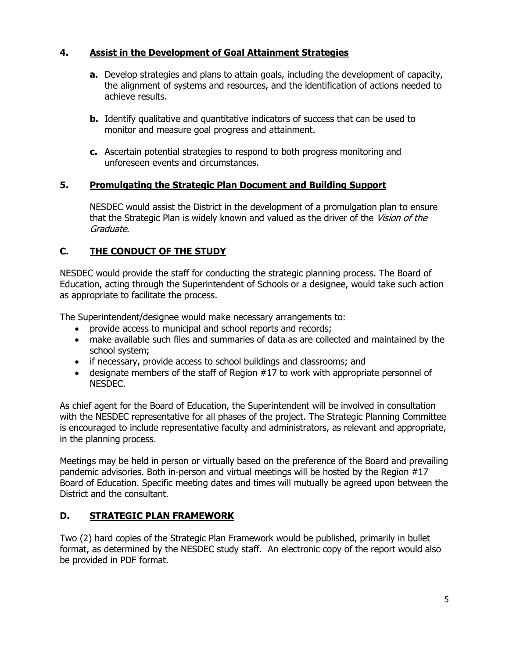## **4. Assist in the Development of Goal Attainment Strategies**

- **a.** Develop strategies and plans to attain goals, including the development of capacity, the alignment of systems and resources, and the identification of actions needed to achieve results.
- **b.** Identify qualitative and quantitative indicators of success that can be used to monitor and measure goal progress and attainment.
- **c.** Ascertain potential strategies to respond to both progress monitoring and unforeseen events and circumstances.

## **5. Promulgating the Strategic Plan Document and Building Support**

NESDEC would assist the District in the development of a promulgation plan to ensure that the Strategic Plan is widely known and valued as the driver of the Vision of the Graduate.

## **C. THE CONDUCT OF THE STUDY**

NESDEC would provide the staff for conducting the strategic planning process. The Board of Education, acting through the Superintendent of Schools or a designee, would take such action as appropriate to facilitate the process.

The Superintendent/designee would make necessary arrangements to:

- provide access to municipal and school reports and records;
- make available such files and summaries of data as are collected and maintained by the school system;
- if necessary, provide access to school buildings and classrooms; and
- designate members of the staff of Region #17 to work with appropriate personnel of NESDEC.

As chief agent for the Board of Education, the Superintendent will be involved in consultation with the NESDEC representative for all phases of the project. The Strategic Planning Committee is encouraged to include representative faculty and administrators, as relevant and appropriate, in the planning process.

Meetings may be held in person or virtually based on the preference of the Board and prevailing pandemic advisories. Both in-person and virtual meetings will be hosted by the Region #17 Board of Education. Specific meeting dates and times will mutually be agreed upon between the District and the consultant.

## **D. STRATEGIC PLAN FRAMEWORK**

Two (2) hard copies of the Strategic Plan Framework would be published, primarily in bullet format, as determined by the NESDEC study staff. An electronic copy of the report would also be provided in PDF format.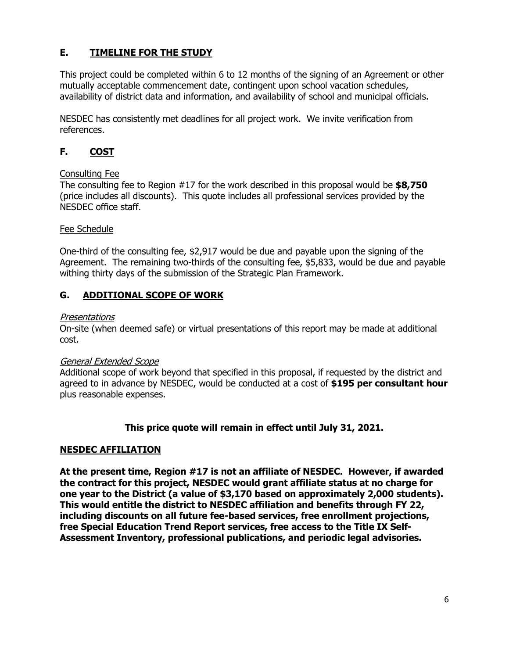## **E. TIMELINE FOR THE STUDY**

This project could be completed within 6 to 12 months of the signing of an Agreement or other mutually acceptable commencement date, contingent upon school vacation schedules, availability of district data and information, and availability of school and municipal officials.

NESDEC has consistently met deadlines for all project work. We invite verification from references.

## **F. COST**

## Consulting Fee

The consulting fee to Region #17 for the work described in this proposal would be **\$8,750** (price includes all discounts). This quote includes all professional services provided by the NESDEC office staff.

## Fee Schedule

One-third of the consulting fee, \$2,917 would be due and payable upon the signing of the Agreement. The remaining two-thirds of the consulting fee, \$5,833, would be due and payable withing thirty days of the submission of the Strategic Plan Framework.

## **G. ADDITIONAL SCOPE OF WORK**

## Presentations

On-site (when deemed safe) or virtual presentations of this report may be made at additional cost.

## General Extended Scope

Additional scope of work beyond that specified in this proposal, if requested by the district and agreed to in advance by NESDEC, would be conducted at a cost of **\$195 per consultant hour** plus reasonable expenses.

## **This price quote will remain in effect until July 31, 2021.**

## **NESDEC AFFILIATION**

**At the present time, Region #17 is not an affiliate of NESDEC. However, if awarded the contract for this project, NESDEC would grant affiliate status at no charge for one year to the District (a value of \$3,170 based on approximately 2,000 students). This would entitle the district to NESDEC affiliation and benefits through FY 22, including discounts on all future fee-based services, free enrollment projections, free Special Education Trend Report services, free access to the Title IX Self-Assessment Inventory, professional publications, and periodic legal advisories.**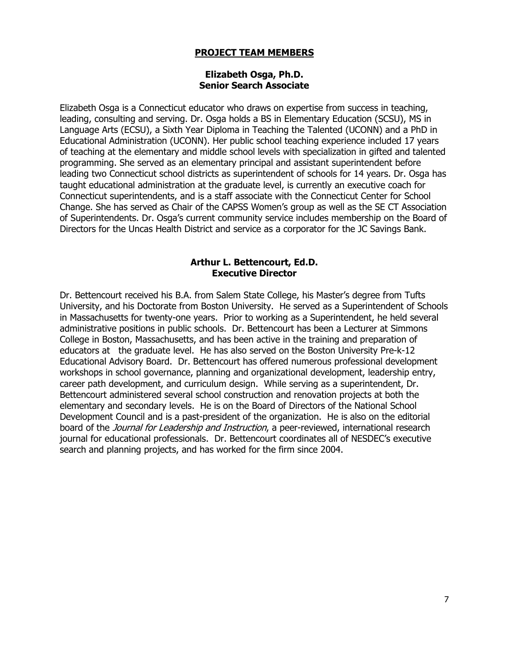## **PROJECT TEAM MEMBERS**

#### **Elizabeth Osga, Ph.D. Senior Search Associate**

Elizabeth Osga is a Connecticut educator who draws on expertise from success in teaching, leading, consulting and serving. Dr. Osga holds a BS in Elementary Education (SCSU), MS in Language Arts (ECSU), a Sixth Year Diploma in Teaching the Talented (UCONN) and a PhD in Educational Administration (UCONN). Her public school teaching experience included 17 years of teaching at the elementary and middle school levels with specialization in gifted and talented programming. She served as an elementary principal and assistant superintendent before leading two Connecticut school districts as superintendent of schools for 14 years. Dr. Osga has taught educational administration at the graduate level, is currently an executive coach for Connecticut superintendents, and is a staff associate with the Connecticut Center for School Change. She has served as Chair of the CAPSS Women's group as well as the SE CT Association of Superintendents. Dr. Osga's current community service includes membership on the Board of Directors for the Uncas Health District and service as a corporator for the JC Savings Bank.

#### **Arthur L. Bettencourt, Ed.D. Executive Director**

Dr. Bettencourt received his B.A. from Salem State College, his Master's degree from Tufts University, and his Doctorate from Boston University. He served as a Superintendent of Schools in Massachusetts for twenty-one years. Prior to working as a Superintendent, he held several administrative positions in public schools. Dr. Bettencourt has been a Lecturer at Simmons College in Boston, Massachusetts, and has been active in the training and preparation of educators at the graduate level. He has also served on the Boston University Pre-k-12 Educational Advisory Board. Dr. Bettencourt has offered numerous professional development workshops in school governance, planning and organizational development, leadership entry, career path development, and curriculum design. While serving as a superintendent, Dr. Bettencourt administered several school construction and renovation projects at both the elementary and secondary levels. He is on the Board of Directors of the National School Development Council and is a past-president of the organization. He is also on the editorial board of the *Journal for Leadership and Instruction*, a peer-reviewed, international research journal for educational professionals. Dr. Bettencourt coordinates all of NESDEC's executive search and planning projects, and has worked for the firm since 2004.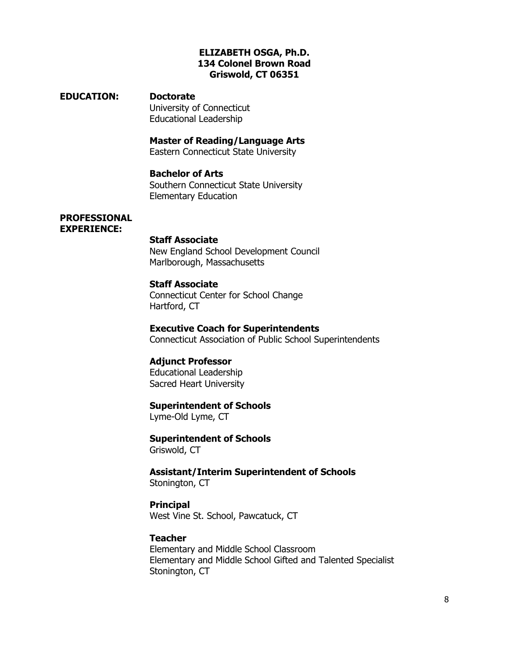#### **ELIZABETH OSGA, Ph.D. 134 Colonel Brown Road Griswold, CT 06351**

#### **EDUCATION: Doctorate**

University of Connecticut Educational Leadership

## **Master of Reading/Language Arts**

Eastern Connecticut State University

## **Bachelor of Arts**

Southern Connecticut State University Elementary Education

#### **PROFESSIONAL EXPERIENCE:**

#### **Staff Associate**

New England School Development Council Marlborough, Massachusetts

## **Staff Associate**

Connecticut Center for School Change Hartford, CT

## **Executive Coach for Superintendents**

Connecticut Association of Public School Superintendents

#### **Adjunct Professor**

Educational Leadership Sacred Heart University

#### **Superintendent of Schools**

Lyme-Old Lyme, CT

## **Superintendent of Schools**

Griswold, CT

**Assistant/Interim Superintendent of Schools** Stonington, CT

#### **Principal** West Vine St. School, Pawcatuck, CT

#### **Teacher**

Elementary and Middle School Classroom Elementary and Middle School Gifted and Talented Specialist Stonington, CT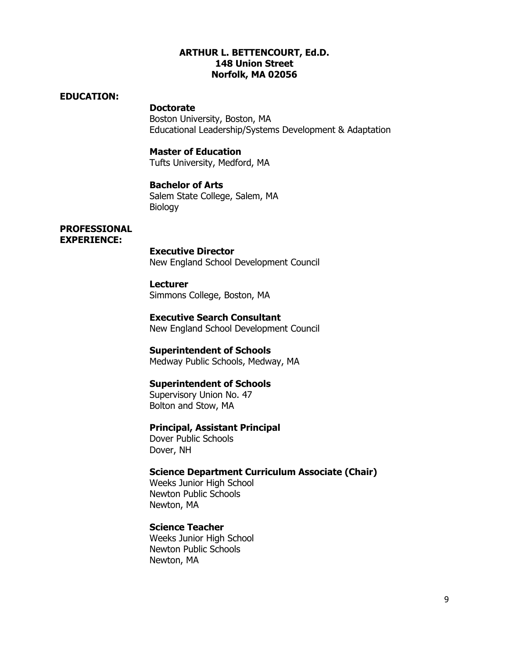#### **ARTHUR L. BETTENCOURT, Ed.D. 148 Union Street Norfolk, MA 02056**

#### **EDUCATION:**

**Doctorate** Boston University, Boston, MA Educational Leadership/Systems Development & Adaptation

#### **Master of Education**

Tufts University, Medford, MA

## **Bachelor of Arts**

Salem State College, Salem, MA Biology

#### **PROFESSIONAL EXPERIENCE:**

#### **Executive Director**

New England School Development Council

#### **Lecturer**

Simmons College, Boston, MA

# **Executive Search Consultant**

New England School Development Council

#### **Superintendent of Schools**

Medway Public Schools, Medway, MA

#### **Superintendent of Schools**

Supervisory Union No. 47 Bolton and Stow, MA

#### **Principal, Assistant Principal**

Dover Public Schools Dover, NH

#### **Science Department Curriculum Associate (Chair)**

Weeks Junior High School Newton Public Schools Newton, MA

#### **Science Teacher**

Weeks Junior High School Newton Public Schools Newton, MA